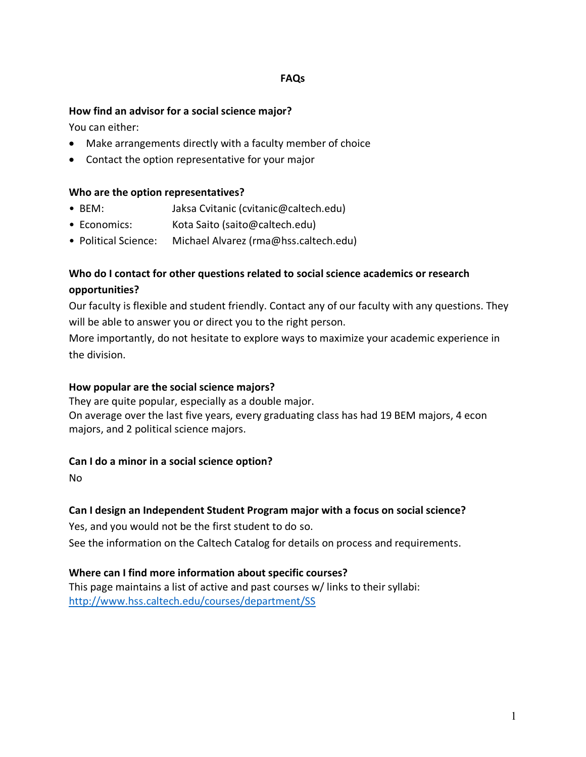### **FAQs**

### **How find an advisor for a social science major?**

You can either:

- Make arrangements directly with a faculty member of choice
- Contact the option representative for your major

### **Who are the option representatives?**

- BEM: Jaksa Cvitanic (cvitanic@caltech.edu)
- Economics: Kota Saito (saito@caltech.edu)
- Political Science: Michael Alvarez (rma@hss.caltech.edu)

# **Who do I contact for other questions related to social science academics or research opportunities?**

Our faculty is flexible and student friendly. Contact any of our faculty with any questions. They will be able to answer you or direct you to the right person.

More importantly, do not hesitate to explore ways to maximize your academic experience in the division.

### **How popular are the social science majors?**

They are quite popular, especially as a double major. On average over the last five years, every graduating class has had 19 BEM majors, 4 econ majors, and 2 political science majors.

### **Can I do a minor in a social science option?**

No

## **Can I design an Independent Student Program major with a focus on social science?**

Yes, and you would not be the first student to do so.

See the information on the Caltech Catalog for details on process and requirements.

## **Where can I find more information about specific courses?**

This page maintains a list of active and past courses w/ links to their syllabi: http://www.hss.caltech.edu/courses/department/SS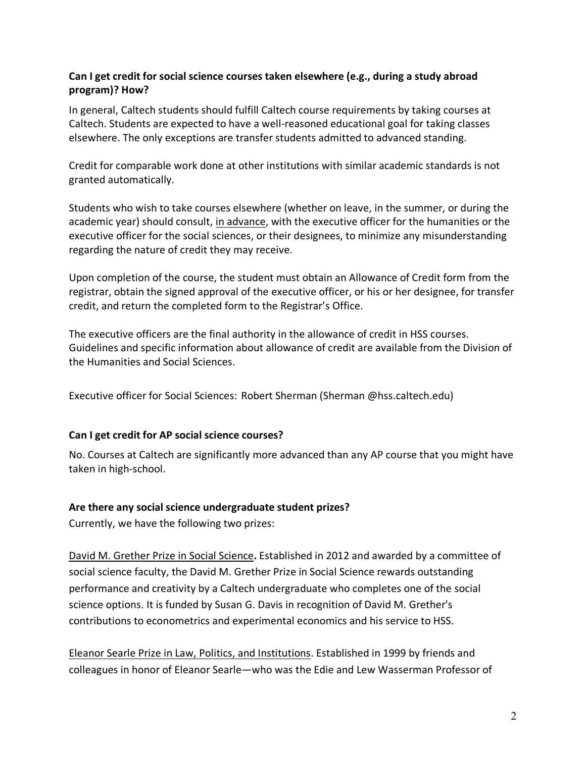# **Can I get credit for social science courses taken elsewhere (e.g., during a study abroad program)? How?**

In general, Caltech students should fulfill Caltech course requirements by taking courses at Caltech. Students are expected to have a well-reasoned educational goal for taking classes elsewhere. The only exceptions are transfer students admitted to advanced standing.

Credit for comparable work done at other institutions with similar academic standards is not granted automatically.

Students who wish to take courses elsewhere (whether on leave, in the summer, or during the academic year) should consult, in advance, with the executive officer for the humanities or the executive officer for the social sciences, or their designees, to minimize any misunderstanding regarding the nature of credit they may receive.

Upon completion of the course, the student must obtain an Allowance of Credit form from the registrar, obtain the signed approval of the executive officer, or his or her designee, for transfer credit, and return the completed form to the Registrar's Office.

The executive officers are the final authority in the allowance of credit in HSS courses. Guidelines and specific information about allowance of credit are available from the Division of the Humanities and Social Sciences.

Executive officer for Social Sciences: Robert Sherman (Sherman @hss.caltech.edu)

### **Can I get credit for AP social science courses?**

No. Courses at Caltech are significantly more advanced than any AP course that you might have taken in high-school.

### **Are there any social science undergraduate student prizes?**

Currently, we have the following two prizes:

David M. Grether Prize in Social Science**.** Established in 2012 and awarded by a committee of social science faculty, the David M. Grether Prize in Social Science rewards outstanding performance and creativity by a Caltech undergraduate who completes one of the social science options. It is funded by Susan G. Davis in recognition of David M. Grether's contributions to econometrics and experimental economics and his service to HSS.

Eleanor Searle Prize in Law, Politics, and Institutions. Established in 1999 by friends and colleagues in honor of Eleanor Searle—who was the Edie and Lew Wasserman Professor of